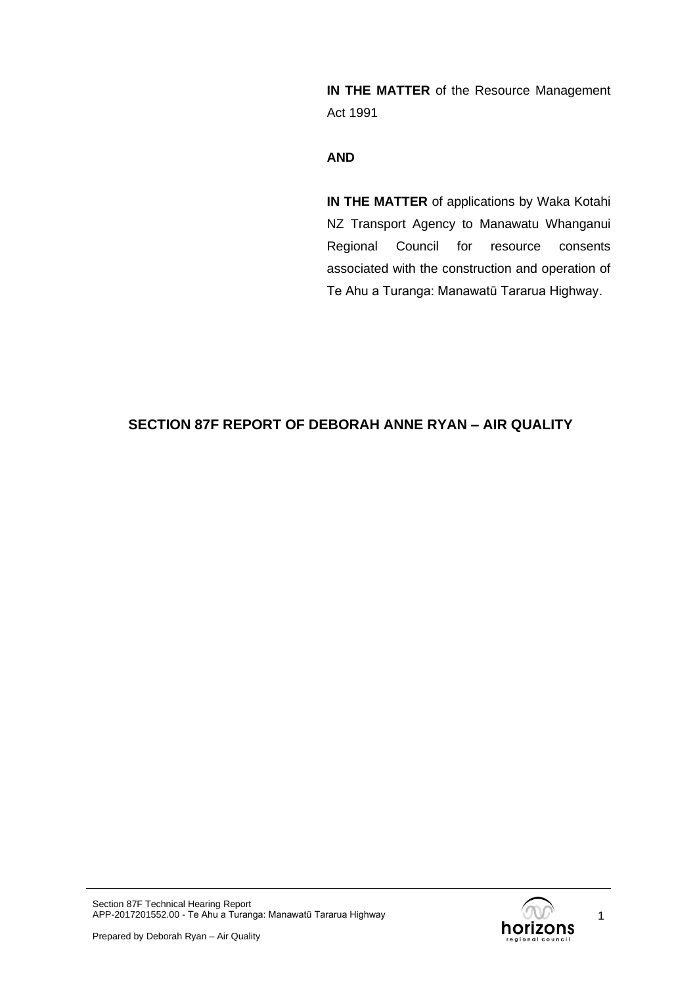**IN THE MATTER** of the Resource Management Act 1991

#### **AND**

**IN THE MATTER** of applications by Waka Kotahi NZ Transport Agency to Manawatu Whanganui Regional Council for resource consents associated with the construction and operation of Te Ahu a Turanga: Manawatū Tararua Highway.

# **SECTION 87F REPORT OF DEBORAH ANNE RYAN – AIR QUALITY**

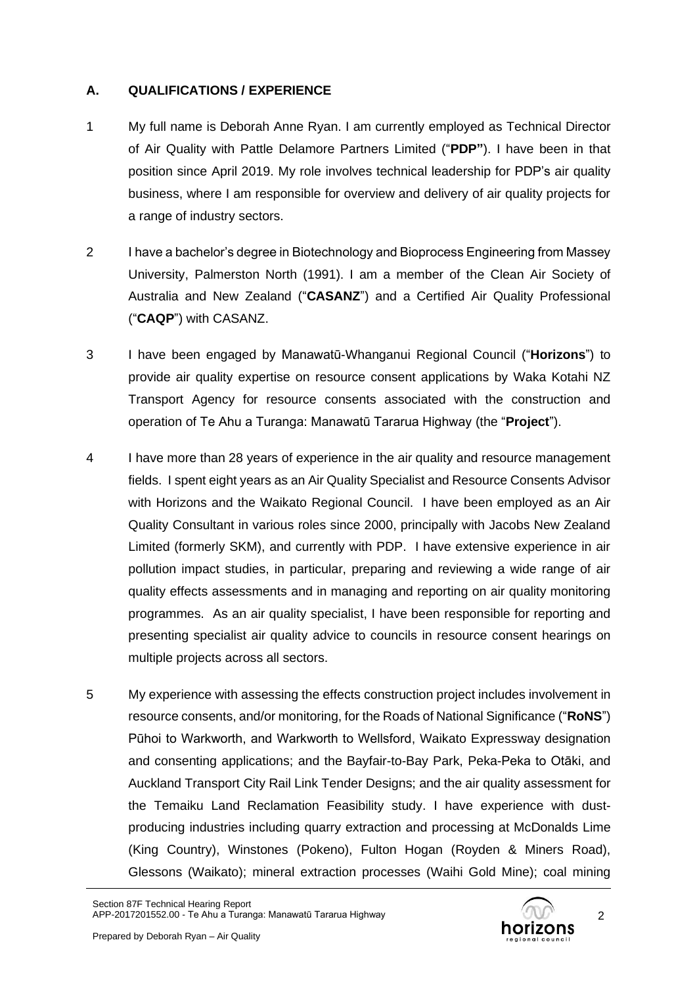# **A. QUALIFICATIONS / EXPERIENCE**

- 1 My full name is Deborah Anne Ryan. I am currently employed as Technical Director of Air Quality with Pattle Delamore Partners Limited ("**PDP"**). I have been in that position since April 2019. My role involves technical leadership for PDP's air quality business, where I am responsible for overview and delivery of air quality projects for a range of industry sectors.
- 2 I have a bachelor's degree in Biotechnology and Bioprocess Engineering from Massey University, Palmerston North (1991). I am a member of the Clean Air Society of Australia and New Zealand ("**CASANZ**") and a Certified Air Quality Professional ("**CAQP**") with CASANZ.
- 3 I have been engaged by Manawatū-Whanganui Regional Council ("**Horizons**") to provide air quality expertise on resource consent applications by Waka Kotahi NZ Transport Agency for resource consents associated with the construction and operation of Te Ahu a Turanga: Manawatū Tararua Highway (the "**Project**").
- 4 I have more than 28 years of experience in the air quality and resource management fields. I spent eight years as an Air Quality Specialist and Resource Consents Advisor with Horizons and the Waikato Regional Council. I have been employed as an Air Quality Consultant in various roles since 2000, principally with Jacobs New Zealand Limited (formerly SKM), and currently with PDP. I have extensive experience in air pollution impact studies, in particular, preparing and reviewing a wide range of air quality effects assessments and in managing and reporting on air quality monitoring programmes. As an air quality specialist, I have been responsible for reporting and presenting specialist air quality advice to councils in resource consent hearings on multiple projects across all sectors.
- 5 My experience with assessing the effects construction project includes involvement in resource consents, and/or monitoring, for the Roads of National Significance ("**RoNS**") Pūhoi to Warkworth, and Warkworth to Wellsford, Waikato Expressway designation and consenting applications; and the Bayfair-to-Bay Park, Peka-Peka to Otāki, and Auckland Transport City Rail Link Tender Designs; and the air quality assessment for the Temaiku Land Reclamation Feasibility study. I have experience with dustproducing industries including quarry extraction and processing at McDonalds Lime (King Country), Winstones (Pokeno), Fulton Hogan (Royden & Miners Road), Glessons (Waikato); mineral extraction processes (Waihi Gold Mine); coal mining

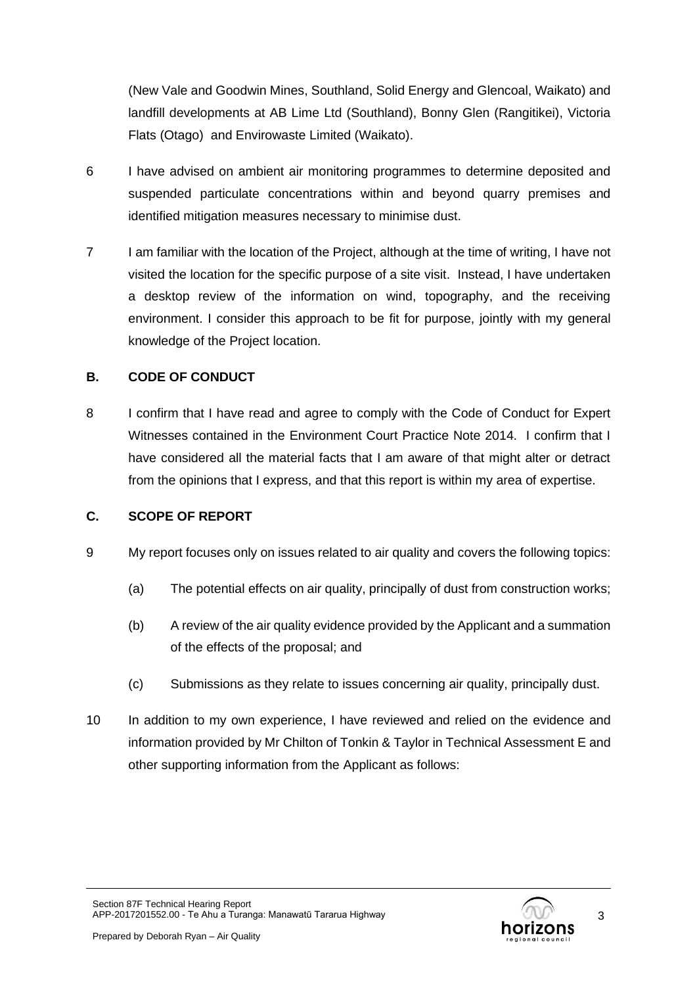(New Vale and Goodwin Mines, Southland, Solid Energy and Glencoal, Waikato) and landfill developments at AB Lime Ltd (Southland), Bonny Glen (Rangitikei), Victoria Flats (Otago) and Envirowaste Limited (Waikato).

- 6 I have advised on ambient air monitoring programmes to determine deposited and suspended particulate concentrations within and beyond quarry premises and identified mitigation measures necessary to minimise dust.
- 7 I am familiar with the location of the Project, although at the time of writing, I have not visited the location for the specific purpose of a site visit. Instead, I have undertaken a desktop review of the information on wind, topography, and the receiving environment. I consider this approach to be fit for purpose, jointly with my general knowledge of the Project location.

# **B. CODE OF CONDUCT**

8 I confirm that I have read and agree to comply with the Code of Conduct for Expert Witnesses contained in the Environment Court Practice Note 2014. I confirm that I have considered all the material facts that I am aware of that might alter or detract from the opinions that I express, and that this report is within my area of expertise.

# **C. SCOPE OF REPORT**

- 9 My report focuses only on issues related to air quality and covers the following topics:
	- (a) The potential effects on air quality, principally of dust from construction works;
	- (b) A review of the air quality evidence provided by the Applicant and a summation of the effects of the proposal; and
	- (c) Submissions as they relate to issues concerning air quality, principally dust.
- 10 In addition to my own experience, I have reviewed and relied on the evidence and information provided by Mr Chilton of Tonkin & Taylor in Technical Assessment E and other supporting information from the Applicant as follows:

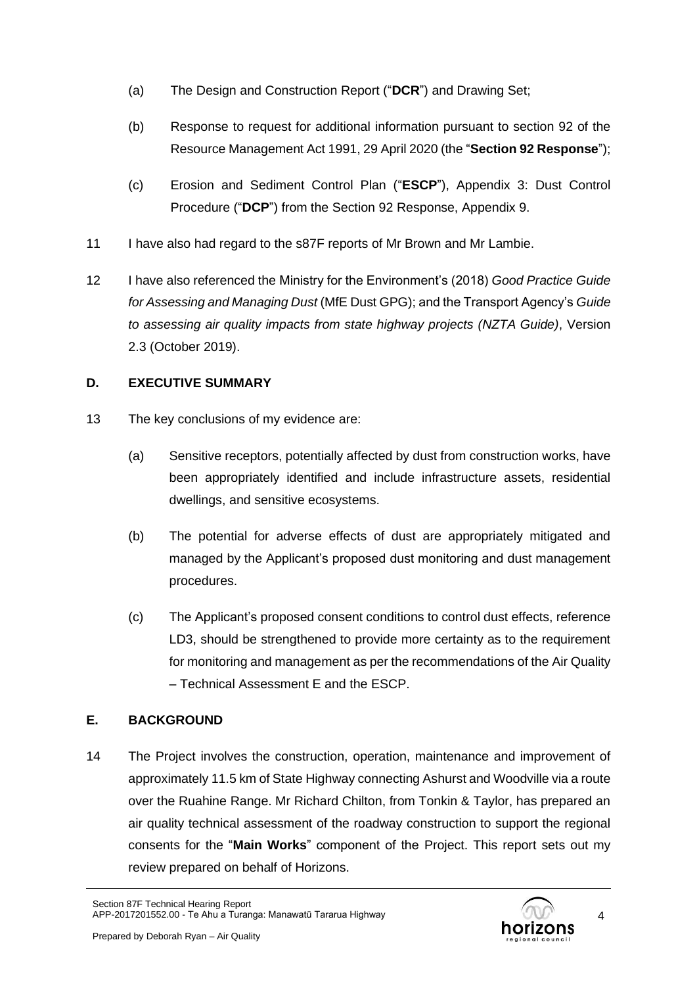- (a) The Design and Construction Report ("**DCR**") and Drawing Set;
- (b) Response to request for additional information pursuant to section 92 of the Resource Management Act 1991, 29 April 2020 (the "**Section 92 Response**");
- (c) Erosion and Sediment Control Plan ("**ESCP**"), Appendix 3: Dust Control Procedure ("**DCP**") from the Section 92 Response, Appendix 9.
- 11 I have also had regard to the s87F reports of Mr Brown and Mr Lambie.
- 12 I have also referenced the Ministry for the Environment's (2018) *Good Practice Guide for Assessing and Managing Dust* (MfE Dust GPG); and the Transport Agency's *Guide to assessing air quality impacts from state highway projects (NZTA Guide)*, Version 2.3 (October 2019).

# **D. EXECUTIVE SUMMARY**

- 13 The key conclusions of my evidence are:
	- (a) Sensitive receptors, potentially affected by dust from construction works, have been appropriately identified and include infrastructure assets, residential dwellings, and sensitive ecosystems.
	- (b) The potential for adverse effects of dust are appropriately mitigated and managed by the Applicant's proposed dust monitoring and dust management procedures.
	- (c) The Applicant's proposed consent conditions to control dust effects, reference LD3, should be strengthened to provide more certainty as to the requirement for monitoring and management as per the recommendations of the Air Quality – Technical Assessment E and the ESCP.

# **E. BACKGROUND**

14 The Project involves the construction, operation, maintenance and improvement of approximately 11.5 km of State Highway connecting Ashurst and Woodville via a route over the Ruahine Range. Mr Richard Chilton, from Tonkin & Taylor, has prepared an air quality technical assessment of the roadway construction to support the regional consents for the "**Main Works**" component of the Project. This report sets out my review prepared on behalf of Horizons.

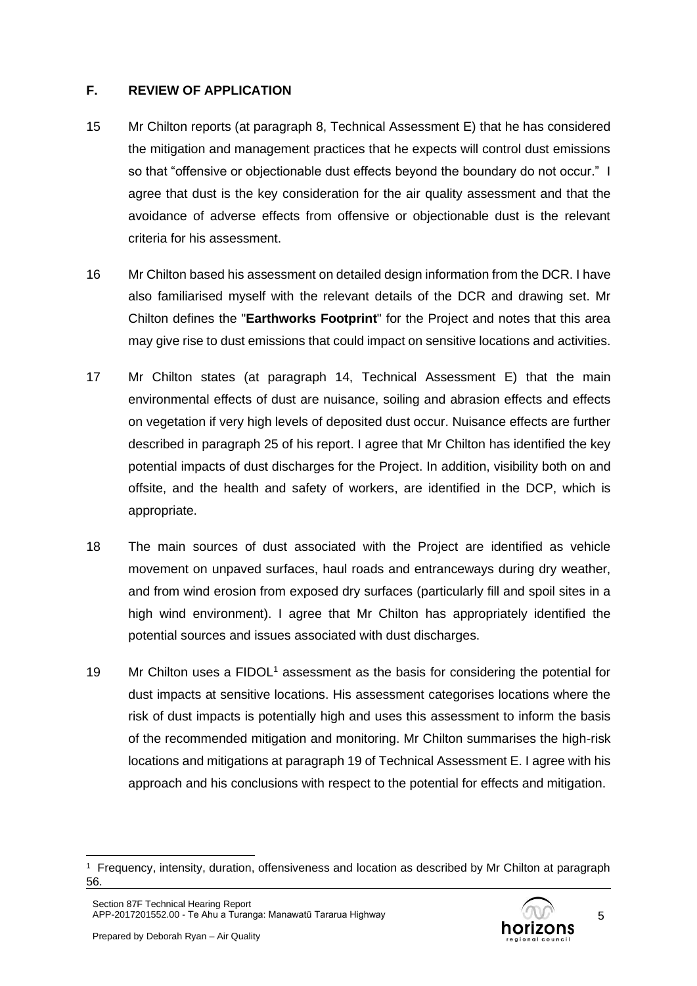# **F. REVIEW OF APPLICATION**

- 15 Mr Chilton reports (at paragraph 8, Technical Assessment E) that he has considered the mitigation and management practices that he expects will control dust emissions so that "offensive or objectionable dust effects beyond the boundary do not occur." I agree that dust is the key consideration for the air quality assessment and that the avoidance of adverse effects from offensive or objectionable dust is the relevant criteria for his assessment.
- 16 Mr Chilton based his assessment on detailed design information from the DCR. I have also familiarised myself with the relevant details of the DCR and drawing set. Mr Chilton defines the "**Earthworks Footprint**" for the Project and notes that this area may give rise to dust emissions that could impact on sensitive locations and activities.
- 17 Mr Chilton states (at paragraph 14, Technical Assessment E) that the main environmental effects of dust are nuisance, soiling and abrasion effects and effects on vegetation if very high levels of deposited dust occur. Nuisance effects are further described in paragraph 25 of his report. I agree that Mr Chilton has identified the key potential impacts of dust discharges for the Project. In addition, visibility both on and offsite, and the health and safety of workers, are identified in the DCP, which is appropriate.
- 18 The main sources of dust associated with the Project are identified as vehicle movement on unpaved surfaces, haul roads and entranceways during dry weather, and from wind erosion from exposed dry surfaces (particularly fill and spoil sites in a high wind environment). I agree that Mr Chilton has appropriately identified the potential sources and issues associated with dust discharges.
- 19 Mr Chilton uses a  $FIDOL<sup>1</sup>$  assessment as the basis for considering the potential for dust impacts at sensitive locations. His assessment categorises locations where the risk of dust impacts is potentially high and uses this assessment to inform the basis of the recommended mitigation and monitoring. Mr Chilton summarises the high-risk locations and mitigations at paragraph 19 of Technical Assessment E. I agree with his approach and his conclusions with respect to the potential for effects and mitigation.



<sup>1</sup> Frequency, intensity, duration, offensiveness and location as described by Mr Chilton at paragraph 56.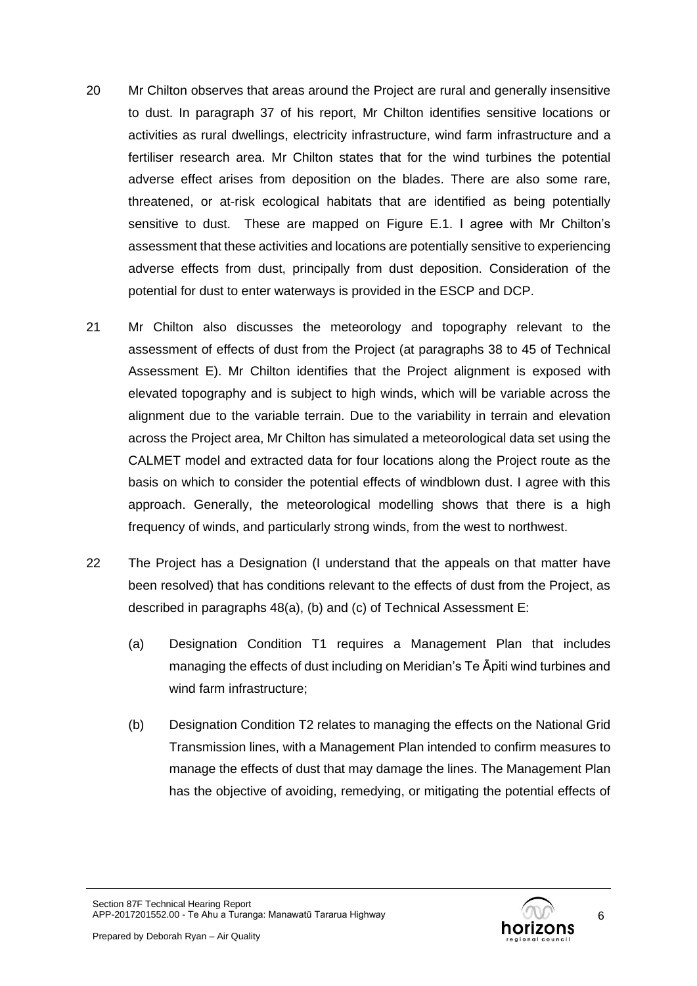- 20 Mr Chilton observes that areas around the Project are rural and generally insensitive to dust. In paragraph 37 of his report, Mr Chilton identifies sensitive locations or activities as rural dwellings, electricity infrastructure, wind farm infrastructure and a fertiliser research area. Mr Chilton states that for the wind turbines the potential adverse effect arises from deposition on the blades. There are also some rare, threatened, or at-risk ecological habitats that are identified as being potentially sensitive to dust. These are mapped on Figure E.1. I agree with Mr Chilton's assessment that these activities and locations are potentially sensitive to experiencing adverse effects from dust, principally from dust deposition. Consideration of the potential for dust to enter waterways is provided in the ESCP and DCP.
- 21 Mr Chilton also discusses the meteorology and topography relevant to the assessment of effects of dust from the Project (at paragraphs 38 to 45 of Technical Assessment E). Mr Chilton identifies that the Project alignment is exposed with elevated topography and is subject to high winds, which will be variable across the alignment due to the variable terrain. Due to the variability in terrain and elevation across the Project area, Mr Chilton has simulated a meteorological data set using the CALMET model and extracted data for four locations along the Project route as the basis on which to consider the potential effects of windblown dust. I agree with this approach. Generally, the meteorological modelling shows that there is a high frequency of winds, and particularly strong winds, from the west to northwest.
- 22 The Project has a Designation (I understand that the appeals on that matter have been resolved) that has conditions relevant to the effects of dust from the Project, as described in paragraphs 48(a), (b) and (c) of Technical Assessment E:
	- (a) Designation Condition T1 requires a Management Plan that includes managing the effects of dust including on Meridian's Te Āpiti wind turbines and wind farm infrastructure;
	- (b) Designation Condition T2 relates to managing the effects on the National Grid Transmission lines, with a Management Plan intended to confirm measures to manage the effects of dust that may damage the lines. The Management Plan has the objective of avoiding, remedying, or mitigating the potential effects of

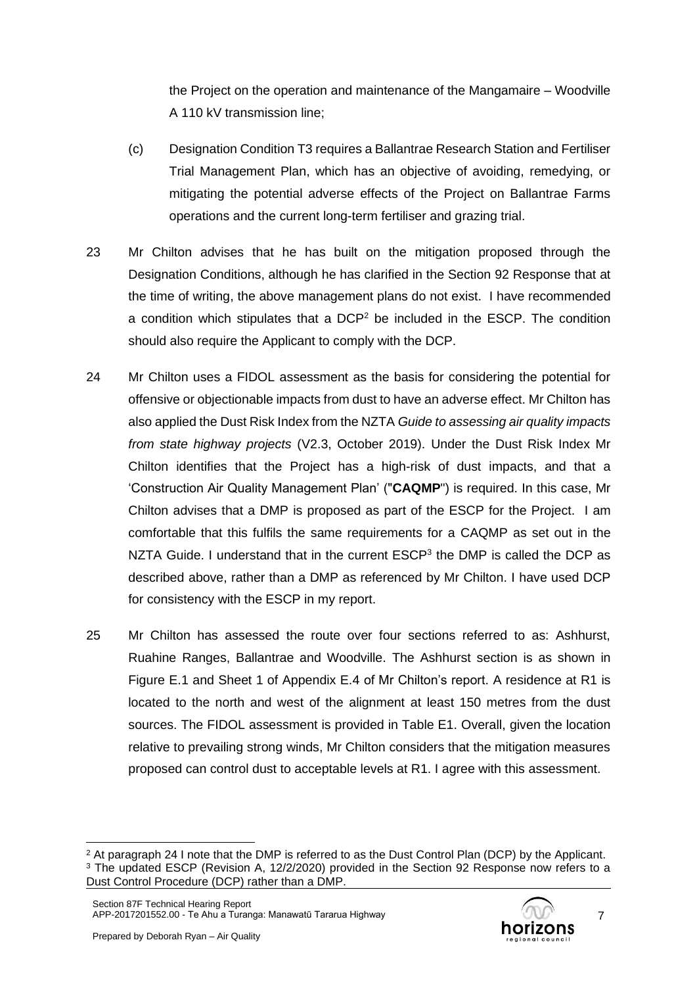the Project on the operation and maintenance of the Mangamaire – Woodville A 110 kV transmission line;

- (c) Designation Condition T3 requires a Ballantrae Research Station and Fertiliser Trial Management Plan, which has an objective of avoiding, remedying, or mitigating the potential adverse effects of the Project on Ballantrae Farms operations and the current long-term fertiliser and grazing trial.
- 23 Mr Chilton advises that he has built on the mitigation proposed through the Designation Conditions, although he has clarified in the Section 92 Response that at the time of writing, the above management plans do not exist. I have recommended a condition which stipulates that a DCP<sup>2</sup> be included in the ESCP. The condition should also require the Applicant to comply with the DCP.
- 24 Mr Chilton uses a FIDOL assessment as the basis for considering the potential for offensive or objectionable impacts from dust to have an adverse effect. Mr Chilton has also applied the Dust Risk Index from the NZTA *Guide to assessing air quality impacts from state highway projects* (V2.3, October 2019). Under the Dust Risk Index Mr Chilton identifies that the Project has a high-risk of dust impacts, and that a 'Construction Air Quality Management Plan' ("**CAQMP**") is required. In this case, Mr Chilton advises that a DMP is proposed as part of the ESCP for the Project. I am comfortable that this fulfils the same requirements for a CAQMP as set out in the NZTA Guide. I understand that in the current ESCP<sup>3</sup> the DMP is called the DCP as described above, rather than a DMP as referenced by Mr Chilton. I have used DCP for consistency with the ESCP in my report.
- 25 Mr Chilton has assessed the route over four sections referred to as: Ashhurst, Ruahine Ranges, Ballantrae and Woodville. The Ashhurst section is as shown in Figure E.1 and Sheet 1 of Appendix E.4 of Mr Chilton's report. A residence at R1 is located to the north and west of the alignment at least 150 metres from the dust sources. The FIDOL assessment is provided in Table E1. Overall, given the location relative to prevailing strong winds, Mr Chilton considers that the mitigation measures proposed can control dust to acceptable levels at R1. I agree with this assessment.

7

<sup>&</sup>lt;sup>2</sup> At paragraph 24 I note that the DMP is referred to as the Dust Control Plan (DCP) by the Applicant. <sup>3</sup> The updated ESCP (Revision A, 12/2/2020) provided in the Section 92 Response now refers to a Dust Control Procedure (DCP) rather than a DMP.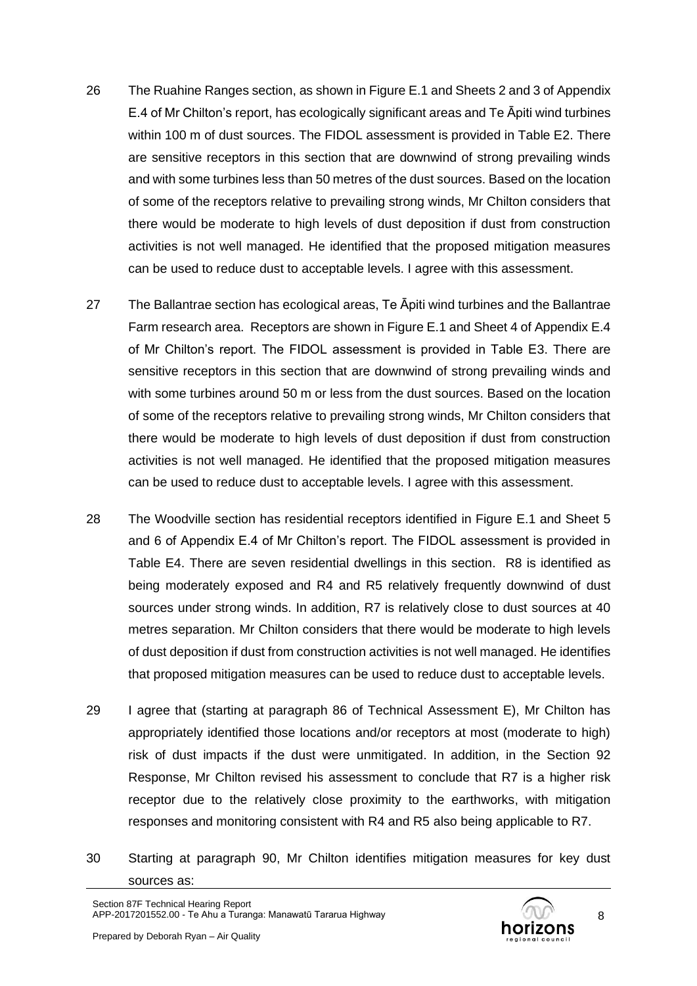- 26 The Ruahine Ranges section, as shown in Figure E.1 and Sheets 2 and 3 of Appendix E.4 of Mr Chilton's report, has ecologically significant areas and Te Āpiti wind turbines within 100 m of dust sources. The FIDOL assessment is provided in Table E2. There are sensitive receptors in this section that are downwind of strong prevailing winds and with some turbines less than 50 metres of the dust sources. Based on the location of some of the receptors relative to prevailing strong winds, Mr Chilton considers that there would be moderate to high levels of dust deposition if dust from construction activities is not well managed. He identified that the proposed mitigation measures can be used to reduce dust to acceptable levels. I agree with this assessment.
- 27 The Ballantrae section has ecological areas, Te Āpiti wind turbines and the Ballantrae Farm research area. Receptors are shown in Figure E.1 and Sheet 4 of Appendix E.4 of Mr Chilton's report. The FIDOL assessment is provided in Table E3. There are sensitive receptors in this section that are downwind of strong prevailing winds and with some turbines around 50 m or less from the dust sources. Based on the location of some of the receptors relative to prevailing strong winds, Mr Chilton considers that there would be moderate to high levels of dust deposition if dust from construction activities is not well managed. He identified that the proposed mitigation measures can be used to reduce dust to acceptable levels. I agree with this assessment.
- 28 The Woodville section has residential receptors identified in Figure E.1 and Sheet 5 and 6 of Appendix E.4 of Mr Chilton's report. The FIDOL assessment is provided in Table E4. There are seven residential dwellings in this section. R8 is identified as being moderately exposed and R4 and R5 relatively frequently downwind of dust sources under strong winds. In addition, R7 is relatively close to dust sources at 40 metres separation. Mr Chilton considers that there would be moderate to high levels of dust deposition if dust from construction activities is not well managed. He identifies that proposed mitigation measures can be used to reduce dust to acceptable levels.
- 29 I agree that (starting at paragraph 86 of Technical Assessment E), Mr Chilton has appropriately identified those locations and/or receptors at most (moderate to high) risk of dust impacts if the dust were unmitigated. In addition, in the Section 92 Response, Mr Chilton revised his assessment to conclude that R7 is a higher risk receptor due to the relatively close proximity to the earthworks, with mitigation responses and monitoring consistent with R4 and R5 also being applicable to R7.
- 30 Starting at paragraph 90, Mr Chilton identifies mitigation measures for key dust sources as:



8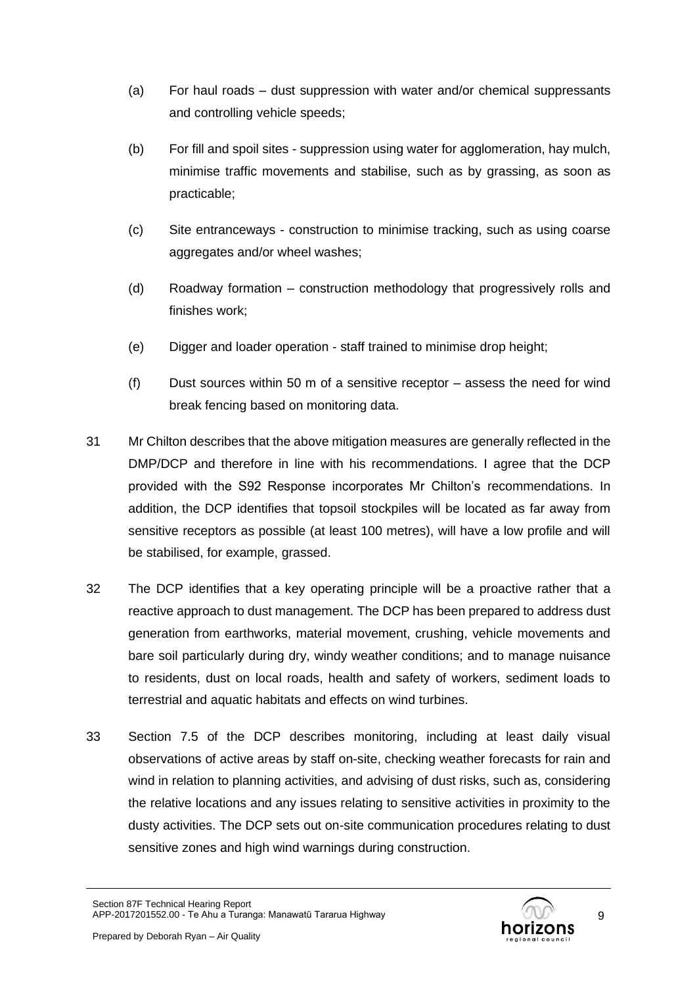- (a) For haul roads dust suppression with water and/or chemical suppressants and controlling vehicle speeds;
- (b) For fill and spoil sites suppression using water for agglomeration, hay mulch, minimise traffic movements and stabilise, such as by grassing, as soon as practicable;
- (c) Site entranceways construction to minimise tracking, such as using coarse aggregates and/or wheel washes;
- (d) Roadway formation construction methodology that progressively rolls and finishes work;
- (e) Digger and loader operation staff trained to minimise drop height;
- (f) Dust sources within 50 m of a sensitive receptor assess the need for wind break fencing based on monitoring data.
- 31 Mr Chilton describes that the above mitigation measures are generally reflected in the DMP/DCP and therefore in line with his recommendations. I agree that the DCP provided with the S92 Response incorporates Mr Chilton's recommendations. In addition, the DCP identifies that topsoil stockpiles will be located as far away from sensitive receptors as possible (at least 100 metres), will have a low profile and will be stabilised, for example, grassed.
- 32 The DCP identifies that a key operating principle will be a proactive rather that a reactive approach to dust management. The DCP has been prepared to address dust generation from earthworks, material movement, crushing, vehicle movements and bare soil particularly during dry, windy weather conditions; and to manage nuisance to residents, dust on local roads, health and safety of workers, sediment loads to terrestrial and aquatic habitats and effects on wind turbines.
- 33 Section 7.5 of the DCP describes monitoring, including at least daily visual observations of active areas by staff on-site, checking weather forecasts for rain and wind in relation to planning activities, and advising of dust risks, such as, considering the relative locations and any issues relating to sensitive activities in proximity to the dusty activities. The DCP sets out on-site communication procedures relating to dust sensitive zones and high wind warnings during construction.

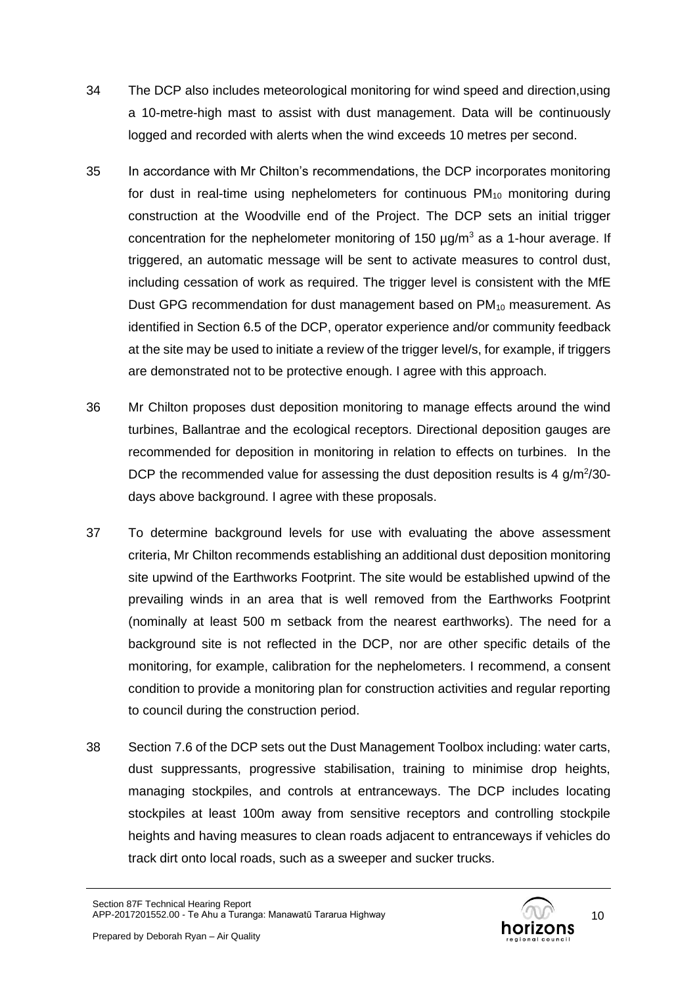- 34 The DCP also includes meteorological monitoring for wind speed and direction,using a 10-metre-high mast to assist with dust management. Data will be continuously logged and recorded with alerts when the wind exceeds 10 metres per second.
- 35 In accordance with Mr Chilton's recommendations, the DCP incorporates monitoring for dust in real-time using nephelometers for continuous  $PM_{10}$  monitoring during construction at the Woodville end of the Project. The DCP sets an initial trigger concentration for the nephelometer monitoring of 150  $\mu$ g/m<sup>3</sup> as a 1-hour average. If triggered, an automatic message will be sent to activate measures to control dust, including cessation of work as required. The trigger level is consistent with the MfE Dust GPG recommendation for dust management based on  $PM_{10}$  measurement. As identified in Section 6.5 of the DCP, operator experience and/or community feedback at the site may be used to initiate a review of the trigger level/s, for example, if triggers are demonstrated not to be protective enough. I agree with this approach.
- 36 Mr Chilton proposes dust deposition monitoring to manage effects around the wind turbines, Ballantrae and the ecological receptors. Directional deposition gauges are recommended for deposition in monitoring in relation to effects on turbines. In the DCP the recommended value for assessing the dust deposition results is 4  $g/m^2/30$ days above background. I agree with these proposals.
- 37 To determine background levels for use with evaluating the above assessment criteria, Mr Chilton recommends establishing an additional dust deposition monitoring site upwind of the Earthworks Footprint. The site would be established upwind of the prevailing winds in an area that is well removed from the Earthworks Footprint (nominally at least 500 m setback from the nearest earthworks). The need for a background site is not reflected in the DCP, nor are other specific details of the monitoring, for example, calibration for the nephelometers. I recommend, a consent condition to provide a monitoring plan for construction activities and regular reporting to council during the construction period.
- 38 Section 7.6 of the DCP sets out the Dust Management Toolbox including: water carts, dust suppressants, progressive stabilisation, training to minimise drop heights, managing stockpiles, and controls at entranceways. The DCP includes locating stockpiles at least 100m away from sensitive receptors and controlling stockpile heights and having measures to clean roads adjacent to entranceways if vehicles do track dirt onto local roads, such as a sweeper and sucker trucks.

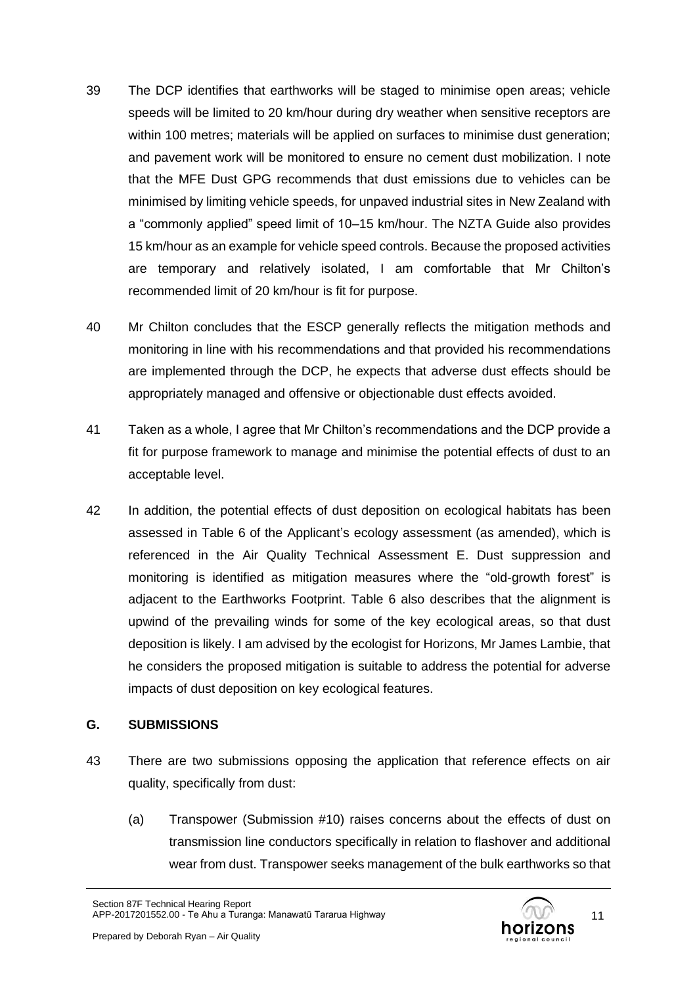- 39 The DCP identifies that earthworks will be staged to minimise open areas; vehicle speeds will be limited to 20 km/hour during dry weather when sensitive receptors are within 100 metres; materials will be applied on surfaces to minimise dust generation; and pavement work will be monitored to ensure no cement dust mobilization. I note that the MFE Dust GPG recommends that dust emissions due to vehicles can be minimised by limiting vehicle speeds, for unpaved industrial sites in New Zealand with a "commonly applied" speed limit of 10–15 km/hour. The NZTA Guide also provides 15 km/hour as an example for vehicle speed controls. Because the proposed activities are temporary and relatively isolated, I am comfortable that Mr Chilton's recommended limit of 20 km/hour is fit for purpose.
- 40 Mr Chilton concludes that the ESCP generally reflects the mitigation methods and monitoring in line with his recommendations and that provided his recommendations are implemented through the DCP, he expects that adverse dust effects should be appropriately managed and offensive or objectionable dust effects avoided.
- 41 Taken as a whole, I agree that Mr Chilton's recommendations and the DCP provide a fit for purpose framework to manage and minimise the potential effects of dust to an acceptable level.
- 42 In addition, the potential effects of dust deposition on ecological habitats has been assessed in Table 6 of the Applicant's ecology assessment (as amended), which is referenced in the Air Quality Technical Assessment E. Dust suppression and monitoring is identified as mitigation measures where the "old-growth forest" is adjacent to the Earthworks Footprint. Table 6 also describes that the alignment is upwind of the prevailing winds for some of the key ecological areas, so that dust deposition is likely. I am advised by the ecologist for Horizons, Mr James Lambie, that he considers the proposed mitigation is suitable to address the potential for adverse impacts of dust deposition on key ecological features.

# **G. SUBMISSIONS**

- 43 There are two submissions opposing the application that reference effects on air quality, specifically from dust:
	- (a) Transpower (Submission #10) raises concerns about the effects of dust on transmission line conductors specifically in relation to flashover and additional wear from dust. Transpower seeks management of the bulk earthworks so that

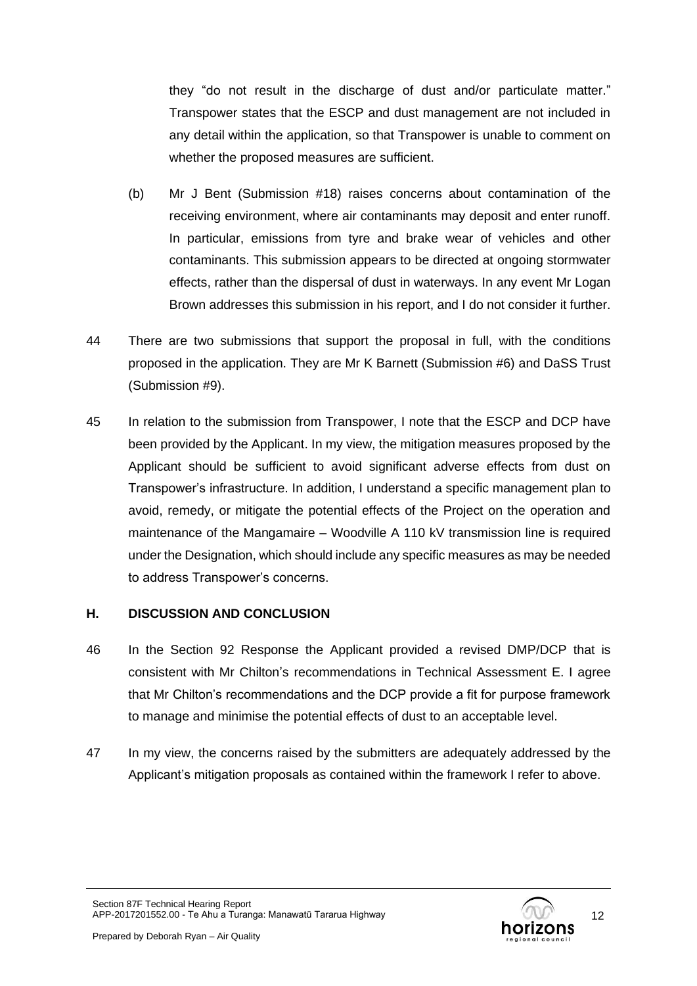they "do not result in the discharge of dust and/or particulate matter." Transpower states that the ESCP and dust management are not included in any detail within the application, so that Transpower is unable to comment on whether the proposed measures are sufficient.

- (b) Mr J Bent (Submission #18) raises concerns about contamination of the receiving environment, where air contaminants may deposit and enter runoff. In particular, emissions from tyre and brake wear of vehicles and other contaminants. This submission appears to be directed at ongoing stormwater effects, rather than the dispersal of dust in waterways. In any event Mr Logan Brown addresses this submission in his report, and I do not consider it further.
- 44 There are two submissions that support the proposal in full, with the conditions proposed in the application. They are Mr K Barnett (Submission #6) and DaSS Trust (Submission #9).
- 45 In relation to the submission from Transpower, I note that the ESCP and DCP have been provided by the Applicant. In my view, the mitigation measures proposed by the Applicant should be sufficient to avoid significant adverse effects from dust on Transpower's infrastructure. In addition, I understand a specific management plan to avoid, remedy, or mitigate the potential effects of the Project on the operation and maintenance of the Mangamaire – Woodville A 110 kV transmission line is required under the Designation, which should include any specific measures as may be needed to address Transpower's concerns.

# **H. DISCUSSION AND CONCLUSION**

- 46 In the Section 92 Response the Applicant provided a revised DMP/DCP that is consistent with Mr Chilton's recommendations in Technical Assessment E. I agree that Mr Chilton's recommendations and the DCP provide a fit for purpose framework to manage and minimise the potential effects of dust to an acceptable level.
- 47 In my view, the concerns raised by the submitters are adequately addressed by the Applicant's mitigation proposals as contained within the framework I refer to above.

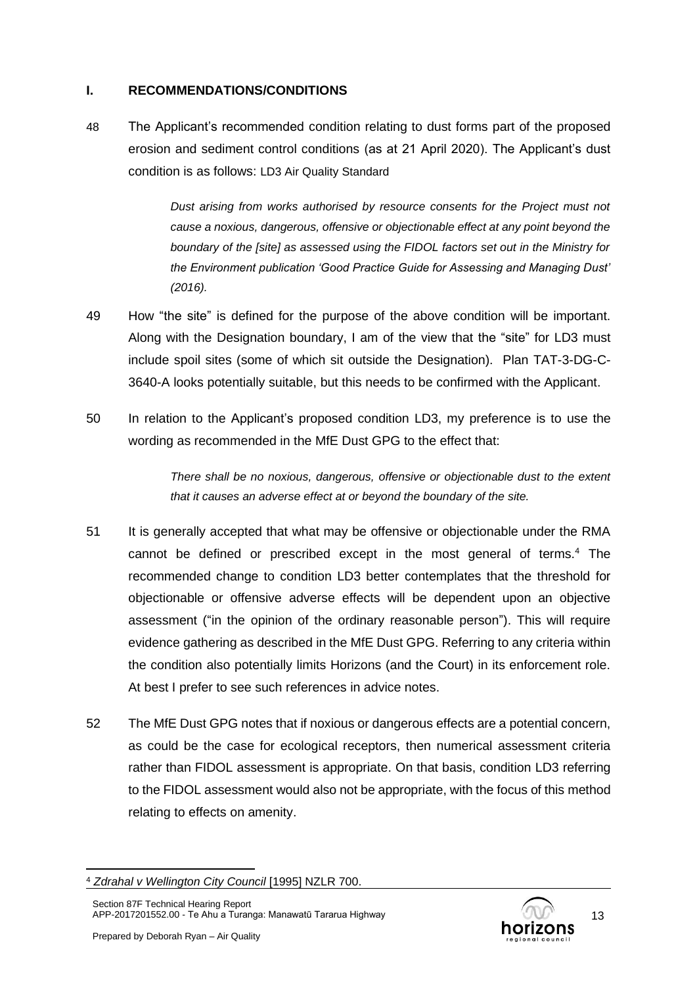#### **I. RECOMMENDATIONS/CONDITIONS**

48 The Applicant's recommended condition relating to dust forms part of the proposed erosion and sediment control conditions (as at 21 April 2020). The Applicant's dust condition is as follows: LD3 Air Quality Standard

> *Dust arising from works authorised by resource consents for the Project must not cause a noxious, dangerous, offensive or objectionable effect at any point beyond the boundary of the [site] as assessed using the FIDOL factors set out in the Ministry for the Environment publication 'Good Practice Guide for Assessing and Managing Dust' (2016).*

- 49 How "the site" is defined for the purpose of the above condition will be important. Along with the Designation boundary, I am of the view that the "site" for LD3 must include spoil sites (some of which sit outside the Designation). Plan TAT-3-DG-C-3640-A looks potentially suitable, but this needs to be confirmed with the Applicant.
- 50 In relation to the Applicant's proposed condition LD3, my preference is to use the wording as recommended in the MfE Dust GPG to the effect that:

*There shall be no noxious, dangerous, offensive or objectionable dust to the extent that it causes an adverse effect at or beyond the boundary of the site.*

- 51 It is generally accepted that what may be offensive or objectionable under the RMA cannot be defined or prescribed except in the most general of terms.<sup>4</sup> The recommended change to condition LD3 better contemplates that the threshold for objectionable or offensive adverse effects will be dependent upon an objective assessment ("in the opinion of the ordinary reasonable person"). This will require evidence gathering as described in the MfE Dust GPG. Referring to any criteria within the condition also potentially limits Horizons (and the Court) in its enforcement role. At best I prefer to see such references in advice notes.
- 52 The MfE Dust GPG notes that if noxious or dangerous effects are a potential concern, as could be the case for ecological receptors, then numerical assessment criteria rather than FIDOL assessment is appropriate. On that basis, condition LD3 referring to the FIDOL assessment would also not be appropriate, with the focus of this method relating to effects on amenity.



<sup>4</sup> *Zdrahal v Wellington City Council* [1995] NZLR 700.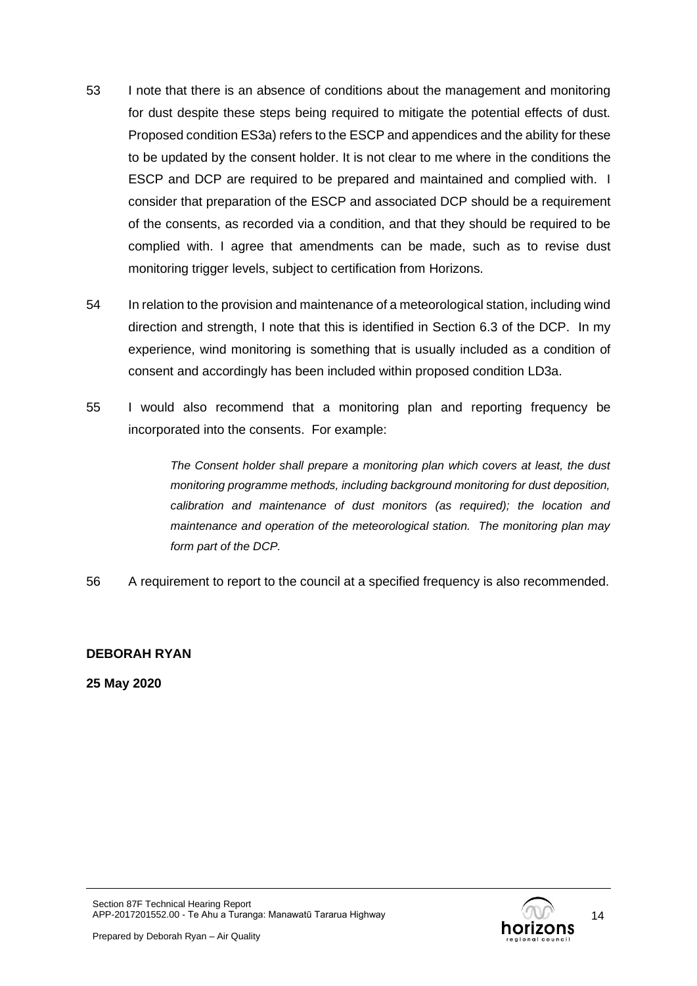- 53 I note that there is an absence of conditions about the management and monitoring for dust despite these steps being required to mitigate the potential effects of dust. Proposed condition ES3a) refers to the ESCP and appendices and the ability for these to be updated by the consent holder. It is not clear to me where in the conditions the ESCP and DCP are required to be prepared and maintained and complied with. I consider that preparation of the ESCP and associated DCP should be a requirement of the consents, as recorded via a condition, and that they should be required to be complied with. I agree that amendments can be made, such as to revise dust monitoring trigger levels, subject to certification from Horizons.
- 54 In relation to the provision and maintenance of a meteorological station, including wind direction and strength, I note that this is identified in Section 6.3 of the DCP. In my experience, wind monitoring is something that is usually included as a condition of consent and accordingly has been included within proposed condition LD3a.
- 55 I would also recommend that a monitoring plan and reporting frequency be incorporated into the consents. For example:

*The Consent holder shall prepare a monitoring plan which covers at least, the dust monitoring programme methods, including background monitoring for dust deposition, calibration and maintenance of dust monitors (as required); the location and maintenance and operation of the meteorological station. The monitoring plan may form part of the DCP.*

56 A requirement to report to the council at a specified frequency is also recommended.

# **DEBORAH RYAN**

**25 May 2020**